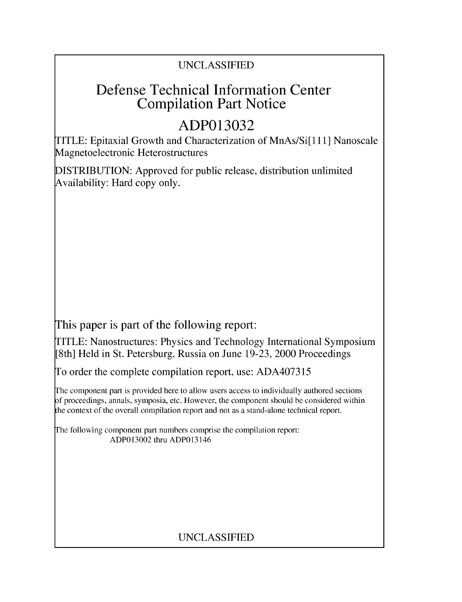# UNCLASSIFIED

# Defense Technical Information Center Compilation Part Notice

# **ADP013032**

TITLE: Epitaxial Growth and Characterization of MnAs/Si[111] Nanoscale Magnetoelectronic Heterostructures

DISTRIBUTION: Approved for public release, distribution unlimited Availability: Hard copy only.

This paper is part of the following report:

TITLE: Nanostructures: Physics and Technology International Symposium [8th] Held in St. Petersburg, Russia on June 19-23, 2000 Proceedings

To order the complete compilation report, use: ADA407315

The component part is provided here to allow users access to individually authored sections f proceedings, annals, symposia, etc. However, the component should be considered within the context of the overall compilation report and not as a stand-alone technical report.

The following component part numbers comprise the compilation report: ADP013002 thru ADP013146

# UNCLASSIFIED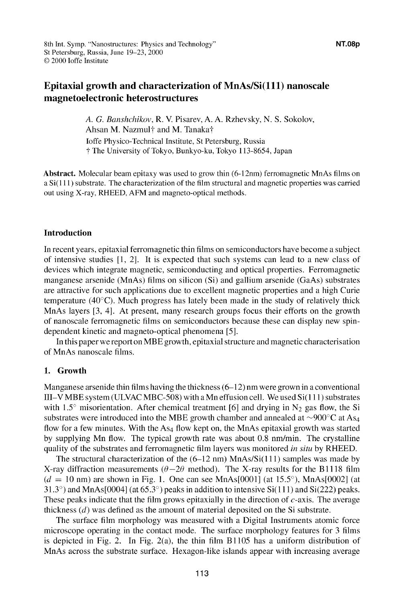## Epitaxial growth and characterization of MnAs/Si(111) nanoscale magnetoelectronic heterostructures

*A. G. Banshchikov,* R. V. Pisarev, A. A. Rzhevsky, N. S. Sokolov, Ahsan M. Nazmul<sup>+</sup> and M. Tanaka<sup>+</sup> Joffe Physico-Technical Institute, St Petersburg, Russia **T** The University of Tokyo, Bunkyo-ku, Tokyo 113-8654, Japan

Abstract. Molecular beam epitaxy was used to grow thin (6-12nm) ferromagnetic MnAs films on a Si(1 11) substrate. The characterization of the film structural and magnetic properties was carried out using X-ray, RHEED, AFM and magneto-optical methods.

### Introduction

In recent years, epitaxial ferromagnetic thin films on semiconductors have become a subject of intensive studies [1, 21. It is expected that such systems can lead to a new class of devices which integrate magnetic, semiconducting and optical properties. Ferromagnetic manganese arsenide (MnAs) films on silicon (Si) and gallium arsenide (GaAs) substrates are attractive for such applications due to excellent magnetic properties and a high Curie temperature ( $40^{\circ}$ C). Much progress has lately been made in the study of relatively thick MnAs layers [3, 41. At present, many research groups focus their efforts on the growth of nanoscale ferromagnetic films on semiconductors because these can display new spindependent kinetic and magneto-optical phenomena [5].

In this paper we report on MBE growth, epitaxial structure and magnetic characterisation of MnAs nanoscale films.

## 1. Growth

Manganese arsenide thin films having the thickness  $(6-12)$  nm were grown in a conventional  $III-V MBE$  system (ULVAC MBC-508) with a Mn effusion cell. We used  $Si(111)$  substrates with 1.5° misorientation. After chemical treatment [6] and drying in  $N_2$  gas flow, the Si substrates were introduced into the MBE growth chamber and annealed at  $\sim$ 900 $\degree$ C at As<sub>4</sub> flow for a few minutes. With the  $As<sub>4</sub>$  flow kept on, the MnAs epitaxial growth was started by supplying Mn flow. The typical growth rate was about 0.8 nm/min. The crystalline quality of the substrates and ferromagnetic film layers was monitored *in situ* by RHEED.

The structural characterization of the  $(6-12 \text{ nm})$  MnAs/Si $(111)$  samples was made by X-ray diffraction measurements ( $\theta - 2\theta$  method). The X-ray results for the B1118 film  $(d = 10 \text{ nm})$  are shown in Fig. 1. One can see MnAs $[0001]$  (at 15.5°), MnAs $[0002]$  (at  $31.3^{\circ}$ ) and MnAs[0004] (at 65.3 $^{\circ}$ ) peaks in addition to intensive Si(111) and Si(222) peaks. These peaks indicate that the film grows epitaxially in the direction of  $c$ -axis. The average thickness (d) was defined as the amount of material deposited on the Si substrate.

The surface film morphology was measured with a Digital Instruments atomic force microscope operating in the contact mode. The surface morphology features for 3 films is depicted in Fig. 2. In Fig. 2(a), the thin film B **1105** has a uniform distribution of MnAs across the substrate surface. Hexagon-like islands appear with increasing average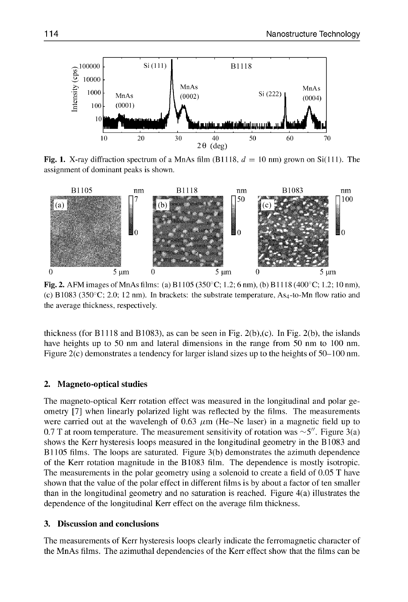

assignment of dominant peaks is shown.



Fig. 2. AFM images of MnAs films: (a) B1105 (350°C; 1.2; 6 nm), (b) B1118 (400°C; 1.2; 10 nm), (c) B 1083 (350 $^{\circ}$ C; 2.0; 12 nm). In brackets: the substrate temperature, As<sub>4</sub>-to-Mn flow ratio and the average thickness, respectively.

thickness (for **BI** 118 and B **1083),** as can be seen in Fig. 2(b),(c). In Fig. 2(b), the islands have heights up to 50 nm and lateral dimensions in the range from 50 nm to 100 nm. Figure 2(c) demonstrates a tendency for larger island sizes up to the heights of 50–100 nm.

### 2. Magneto-optical studies

The magneto-optical Kerr rotation effect was measured in the longitudinal and polar geometry **[71** when linearly polarized light was reflected by the films. The measurements were carried out at the wavelengh of 0.63  $\mu$ m (He-Ne laser) in a magnetic field up to 0.7 T at room temperature. The measurement sensitivity of rotation was  $\sim$ 5". Figure 3(a) shows the Kerr hysteresis loops measured in the longitudinal geometry in the B 1083 and B 1105 films. The loops are saturated. Figure 3(b) demonstrates the azimuth dependence of the Kerr rotation magnitude in the B 1083 film. The dependence is mostly isotropic. The measurements in the polar geometry using a solenoid to create a field of 0.05 T have shown that the value of the polar effect in different films is by about a factor of ten smaller than in the longitudinal geometry and no saturation is reached. Figure 4(a) illustrates the dependence of the longitudinal Kerr effect on the average film thickness.

#### **3.** Discussion and conclusions

The measurements of Kerr hysteresis loops clearly indicate the ferromagnetic character of the MnAs films. The azimuthal dependencies of the Kerr effect show that the films can be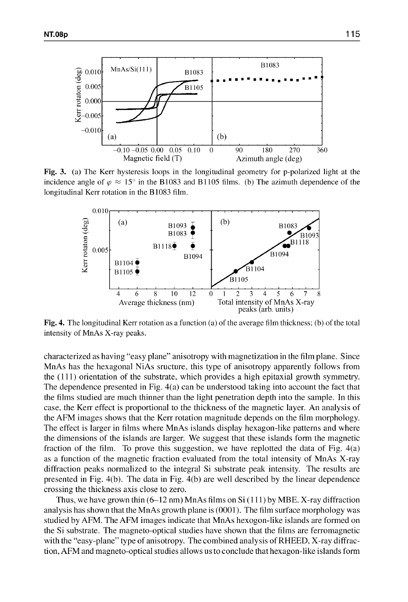

Fig. 3. (a) The Kerr hysteresis loops in the longitudinal geometry for p-polarized light at the incidence angle of  $\varphi \approx 15^{\circ}$  in the B1083 and B1105 films. (b) The azimuth dependence of the longitudinal Kerr rotation in the B 1083 film.



Fig. 4. The longitudinal Kerr rotation as a function (a) of the average film thickness; **(b)** of the total intensity of MnAs X-ray peaks.

characterized as having "easy plane" anisotropy with magnetization in the film plane. Since MnAs has the hexagonal NiAs sructure, this type of anisotropy apparently follows from the (1 11) orientation of the substrate, which provides a high epitaxial growth symmetry. The dependence presented in Fig. 4(a) can be understood taking into account the fact that the films studied are much thinner than the light penetration depth into the sample. In this case, the Kerr effect is proportional to the thickness of the magnetic layer. An analysis of the AFM images shows that the Kerr rotation magnitude depends on the film morphology. The effect is larger in films where MnAs islands display hexagon-like patterns and where the dimensions of the islands are larger. We suggest that these islands form the magnetic fraction of the film. To prove this suggestion, we have replotted the data of Fig. 4(a) as a function of the magnetic fraction evaluated from the total intensity of MnAs X-ray diffraction peaks normalized to the integral Si substrate peak intensity. The results are presented in Fig. 4(b). The data in Fig. 4(b) are well described by the linear dependence crossing the thickness axis close to zero.

Thus, we have grown thin (6-12 nm) MnAs films on Si **(I** 11) by MBE. X-ray diffraction analysis has shown that the MnAs growth plane is (0001). The film surface morphology was studied by AFM. The AFM images indicate that MnAs hexogon-like islands are formed on the Si substrate. The magneto-optical studies have shown that the films are ferromagnetic with the "easy-plane" type of anisotropy. The combined analysis of RHEED, X-ray diffraction, AFM and magneto-optical studies allows us to conclude that hexagon-like islands form